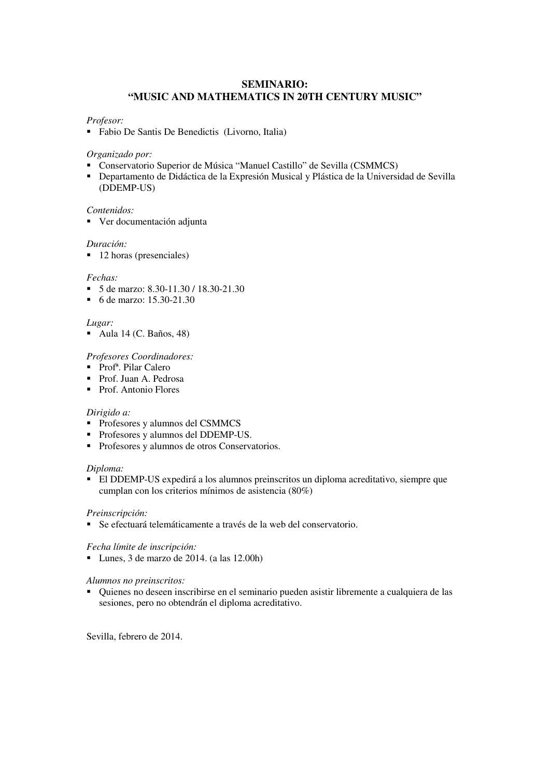### **SEMINARIO: "MUSIC AND MATHEMATICS IN 20TH CENTURY MUSIC"**

#### *Profesor:*

! Fabio De Santis De Benedictis (Livorno, Italia)

#### *Organizado por:*

- ! Conservatorio Superior de Música "Manuel Castillo" de Sevilla (CSMMCS)
- ! Departamento de Didáctica de la Expresión Musical y Plástica de la Universidad de Sevilla (DDEMP-US)

#### *Contenidos:*

! Ver documentación adjunta

#### *Duración:*

■ 12 horas (presenciales)

#### *Fechas:*

- ! 5 de marzo: 8.30-11.30 / 18.30-21.30
- ! 6 de marzo: 15.30-21.30

#### *Lugar:*

! Aula 14 (C. Baños, 48)

#### *Profesores Coordinadores:*

- Prof<sup>a</sup>. Pilar Calero
- ! Prof. Juan A. Pedrosa
- ! Prof. Antonio Flores

#### *Dirigido a:*

- ! Profesores y alumnos del CSMMCS
- ! Profesores y alumnos del DDEMP-US.
- ! Profesores y alumnos de otros Conservatorios.

### *Diploma:*

! El DDEMP-US expedirá a los alumnos preinscritos un diploma acreditativo, siempre que cumplan con los criterios mínimos de asistencia (80%)

#### *Preinscripción:*

! Se efectuará telemáticamente a través de la web del conservatorio.

### *Fecha límite de inscripción:*

 $\blacksquare$  Lunes, 3 de marzo de 2014. (a las 12.00h)

### *Alumnos no preinscritos:*

! Quienes no deseen inscribirse en el seminario pueden asistir libremente a cualquiera de las sesiones, pero no obtendrán el diploma acreditativo.

Sevilla, febrero de 2014.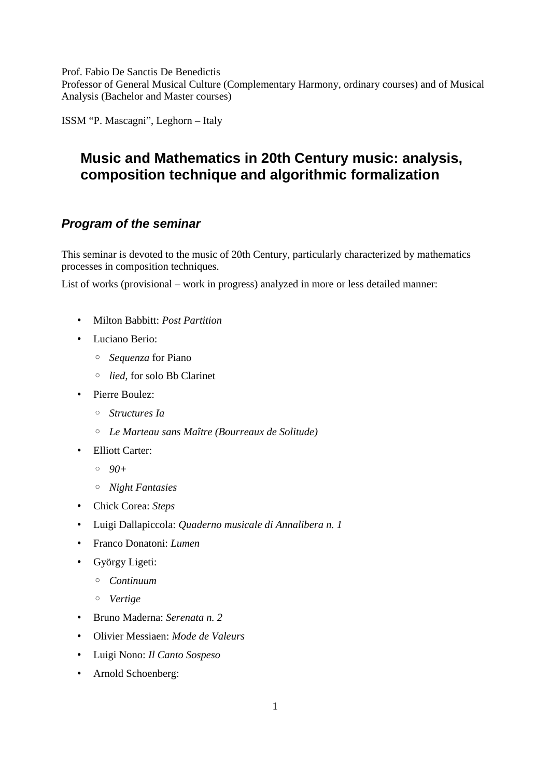Prof. Fabio De Sanctis De Benedictis Professor of General Musical Culture (Complementary Harmony, ordinary courses) and of Musical Analysis (Bachelor and Master courses)

ISSM "P. Mascagni", Leghorn – Italy

# **Music and Mathematics in 20th Century music: analysis, composition technique and algorithmic formalization**

# *Program of the seminar*

This seminar is devoted to the music of 20th Century, particularly characterized by mathematics processes in composition techniques.

List of works (provisional – work in progress) analyzed in more or less detailed manner:

- Milton Babbitt: *Post Partition*
- Luciano Berio:
	- *Sequenza* for Piano
	- *lied*, for solo Bb Clarinet
- Pierre Boulez:
	- *Structures Ia*
	- *Le Marteau sans Maître (Bourreaux de Solitude)*
- Elliott Carter:
	- *90+*
	- *Night Fantasies*
- Chick Corea: *Steps*
- Luigi Dallapiccola: *Quaderno musicale di Annalibera n. 1*
- Franco Donatoni: *Lumen*
- György Ligeti:
	- *Continuum*
	- *Vertige*
- Bruno Maderna: *Serenata n. 2*
- Olivier Messiaen: *Mode de Valeurs*
- Luigi Nono: *Il Canto Sospeso*
- Arnold Schoenberg: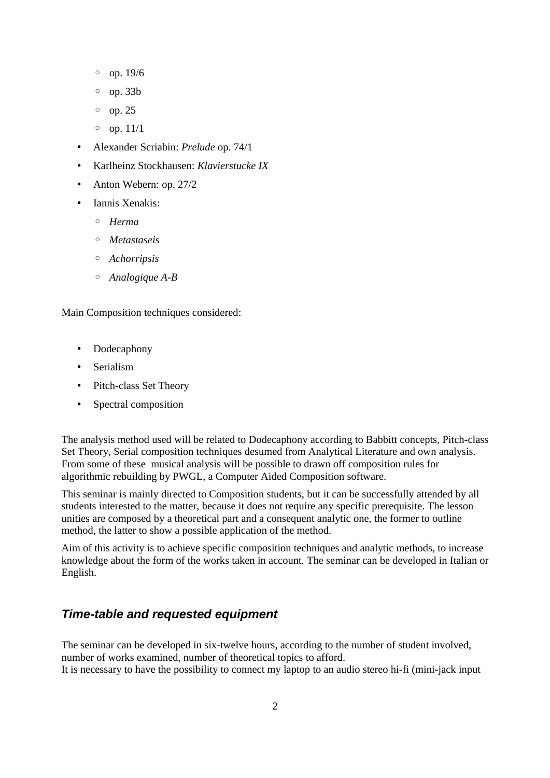- op. 19/6
- op. 33b
- op. 25
- $\circ$  op. 11/1
- Alexander Scriabin: *Prelude* op. 74/1
- Karlheinz Stockhausen: *Klavierstucke IX*
- Anton Webern: op. 27/2
- Iannis Xenakis:
	- *Herma*
	- *Metastaseis*
	- *Achorripsis*
	- *Analogique A-B*

Main Composition techniques considered:

- Dodecaphony
- Serialism
- Pitch-class Set Theory
- Spectral composition

The analysis method used will be related to Dodecaphony according to Babbitt concepts, Pitch-class Set Theory, Serial composition techniques desumed from Analytical Literature and own analysis. From some of these musical analysis will be possible to drawn off composition rules for algorithmic rebuilding by PWGL, a Computer Aided Composition software.

This seminar is mainly directed to Composition students, but it can be successfully attended by all students interested to the matter, because it does not require any specific prerequisite. The lesson unities are composed by a theoretical part and a consequent analytic one, the former to outline method, the latter to show a possible application of the method.

Aim of this activity is to achieve specific composition techniques and analytic methods, to increase knowledge about the form of the works taken in account. The seminar can be developed in Italian or English.

# *Time-table and requested equipment*

The seminar can be developed in six-twelve hours, according to the number of student involved, number of works examined, number of theoretical topics to afford. It is necessary to have the possibility to connect my laptop to an audio stereo hi-fi (mini-jack input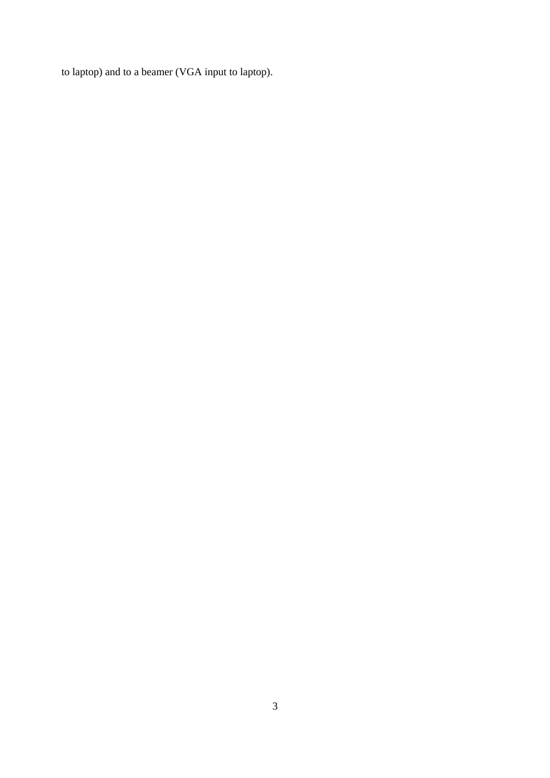to laptop) and to a beamer (VGA input to laptop).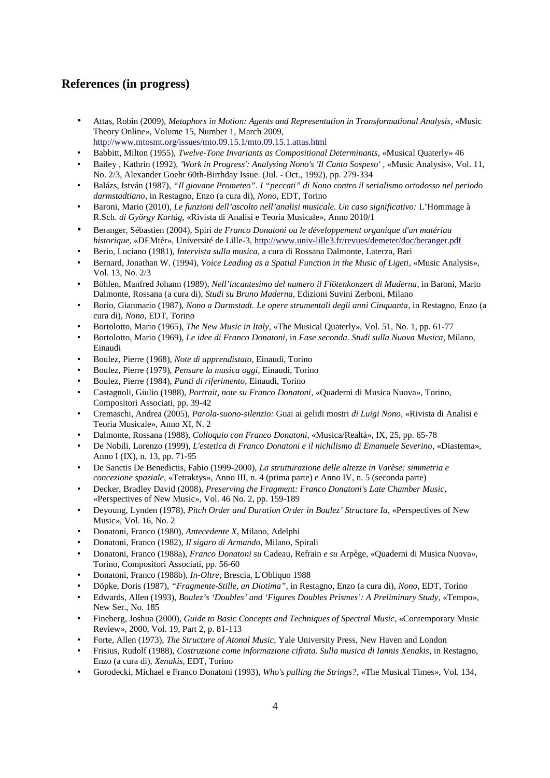## **References (in progress)**

- Attas, Robin (2009), *Metaphors in Motion: Agents and Representation in Transformational Analysis*, «Music Theory Online», Volume 15, Number 1, March 2009, http://www.mtosmt.org/issues/mto.09.15.1/mto.09.15.1.attas.html
- Babbitt, Milton (1955), *Twelve-Tone Invariants as Compositional Determinants*, «Musical Quaterly» 46
- Bailey , Kathrin (1992), *'Work in Progress': Analysing Nono's 'Il Canto Sospeso'* , «Music Analysis», Vol. 11, No. 2/3, Alexander Goehr 60th-Birthday Issue. (Jul. - Oct., 1992), pp. 279-334
- Balázs, István (1987), *"Il giovane Prometeo". I "peccati" di Nono contro il serialismo ortodosso nel periodo darmstadtiano*, in Restagno, Enzo (a cura di), *Nono*, EDT, Torino
- Baroni, Mario (2010), *Le funzioni dell'ascolto nell'analisi musicale. Un caso significativo:* L'Hommage à R.Sch. *di György Kurtág*, «Rivista di Analisi e Teoria Musicale», Anno 2010/1
- Beranger, Sébastien (2004), Spiri *de Franco Donatoni ou le développement organique d'un matériau historique*, «DEMtér», Université de Lille-3, http://www.univ-lille3.fr/revues/demeter/doc/beranger.pdf
- Berio, Luciano (1981), *Intervista sulla musica*, a cura di Rossana Dalmonte, Laterza, Bari
- Bernard, Jonathan W. (1994), *Voice Leading as a Spatial Function in the Music of Ligeti*, «Music Analysis», Vol. 13, No. 2/3
- Böhlen, Manfred Johann (1989), *Nell'incantesimo del numero il Flötenkonzert di Maderna*, in Baroni, Mario Dalmonte, Rossana (a cura di), *Studi su Bruno Maderna*, Edizioni Suvini Zerboni, Milano
- Borio, Gianmario (1987), *Nono a Darmstadt. Le opere strumentali degli anni Cinquanta*, in Restagno, Enzo (a cura di), *Nono*, EDT, Torino
- Bortolotto, Mario (1965), *The New Music in Italy*, «The Musical Quaterly», Vol. 51, No. 1, pp. 61-77
- Bortolotto, Mario (1969), *Le idee di Franco Donatoni*, in *Fase seconda. Studi sulla Nuova Musica*, Milano, Einaudi
- Boulez, Pierre (1968), *Note di apprendistato*, Einaudi, Torino
- Boulez, Pierre (1979), *Pensare la musica oggi*, Einaudi, Torino
- Boulez, Pierre (1984), *Punti di riferimento*, Einaudi, Torino
- Castagnoli, Giulio (1988), *Portrait, note su Franco Donatoni*, «Quaderni di Musica Nuova», Torino, Compositori Associati, pp. 39-42
- Cremaschi, Andrea (2005), *Parola-suono-silenzio:* Guai ai gelidi mostri *di Luigi Nono*, «Rivista di Analisi e Teoria Musicale», Anno XI, N. 2
- Dalmonte, Rossana (1988), *Colloquio con Franco Donatoni*, «Musica/Realtà», IX, 25, pp. 65-78
- De Nobili, Lorenzo (1999), *L'estetica di Franco Donatoni e il nichilismo di Emanuele Severino*, «Diastema», Anno I (IX), n. 13, pp. 71-95
- De Sanctis De Benedictis, Fabio (1999-2000), *La strutturazione delle altezze in Varèse: simmetria e concezione spaziale*, «Tetraktys», Anno III, n. 4 (prima parte) e Anno IV, n. 5 (seconda parte)
- Decker, Bradley David (2008), *Preserving the Fragment: Franco Donatoni's Late Chamber Music*, «Perspectives of New Music», Vol. 46 No. 2, pp. 159-189
- Deyoung, Lynden (1978), *Pitch Order and Duration Order in Boulez' Structure Ia*, «Perspectives of New Music», Vol. 16, No. 2
- Donatoni, Franco (1980), *Antecedente X*, Milano, Adelphi
- Donatoni, Franco (1982), *Il sigaro di Armando*, Milano, Spirali
- Donatoni, Franco (1988a), *Franco Donatoni su* Cadeau*,* Refrain *e su* Arpège, «Quaderni di Musica Nuova», Torino, Compositori Associati, pp. 56-60
- Donatoni, Franco (1988b), *In-Oltre*, Brescia, L'Obliquo 1988
- Döpke, Doris (1987), *"Fragmente-Stille, an Diotima"*, in Restagno, Enzo (a cura di), *Nono*, EDT, Torino
- Edwards, Allen (1993), *Boulez's 'Doubles' and 'Figures Doubles Prismes': A Preliminary Study*, «Tempo», New Ser., No. 185
- Fineberg, Joshua (2000), *Guide to Basic Concepts and Techniques of Spectral Music*, «Contemporary Music Review», 2000, Vol. 19, Part 2, p. 81-113
- Forte, Allen (1973), *The Structure of Atonal Music*, Yale University Press, New Haven and London
- Frisius, Rudolf (1988), *Costruzione come informazione cifrata. Sulla musica di Iannis Xenakis*, in Restagno, Enzo (a cura di), *Xenakis*, EDT, Torino
- Gorodecki, Michael e Franco Donatoni (1993), *Who's pulling the Strings?*, «The Musical Times», Vol. 134,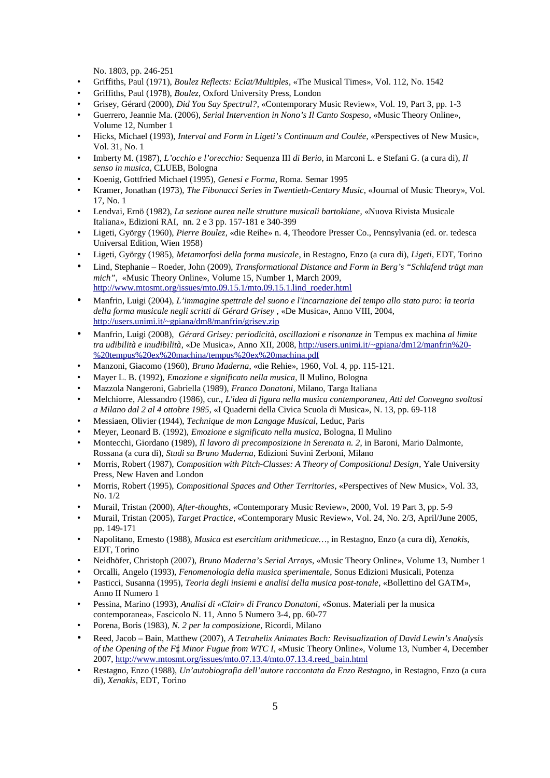No. 1803, pp. 246-251

- Griffiths, Paul (1971), *Boulez Reflects: Eclat/Multiples*, «The Musical Times», Vol. 112, No. 1542
- Griffiths, Paul (1978), *Boulez*, Oxford University Press, London
- Grisey, Gérard (2000), *Did You Say Spectral?*, «Contemporary Music Review», Vol. 19, Part 3, pp. 1-3
- Guerrero, Jeannie Ma. (2006), *Serial Intervention in Nono's Il Canto Sospeso*, «Music Theory Online», Volume 12, Number 1
- Hicks, Michael (1993), *Interval and Form in Ligeti's Continuum and Coulée*, «Perspectives of New Music», Vol. 31, No. 1
- Imberty M. (1987), *L'occhio e l'orecchio:* Sequenza III *di Berio*, in Marconi L. e Stefani G. (a cura di), *Il senso in musica*, CLUEB, Bologna
- Koenig, Gottfried Michael (1995), *Genesi e Forma*, Roma. Semar 1995
- Kramer, Jonathan (1973), *The Fibonacci Series in Twentieth-Century Music*, «Journal of Music Theory», Vol. 17, No. 1
- Lendvai, Ernö (1982), *La sezione aurea nelle strutture musicali bartokiane*, «Nuova Rivista Musicale Italiana», Edizioni RAI, nn. 2 e 3 pp. 157-181 e 340-399
- Ligeti, György (1960), *Pierre Boulez*, «die Reihe» n. 4, Theodore Presser Co., Pennsylvania (ed. or. tedesca Universal Edition, Wien 1958)
- Ligeti, György (1985), *Metamorfosi della forma musicale*, in Restagno, Enzo (a cura di), *Ligeti*, EDT, Torino
- Lind, Stephanie Roeder, John (2009), *Transformational Distance and Form in Berg's "Schlafend trägt man mich"*, «Music Theory Online», Volume 15, Number 1, March 2009, http://www.mtosmt.org/issues/mto.09.15.1/mto.09.15.1.lind\_roeder.html
- Manfrin, Luigi (2004), *L'immagine spettrale del suono e l'incarnazione del tempo allo stato puro: la teoria della forma musicale negli scritti di Gérard Grisey* , «De Musica», Anno VIII, 2004, http://users.unimi.it/~gpiana/dm8/manfrin/grisey.zip
- Manfrin, Luigi (2008), *Gérard Grisey: periodicità, oscillazioni e risonanze in* Tempus ex machina *al limite tra udibilità e inudibilità*, «De Musica», Anno XII, 2008, http://users.unimi.it/~gpiana/dm12/manfrin%20- %20tempus%20ex%20machina/tempus %20ex%20machina.pdf
- Manzoni, Giacomo (1960), *Bruno Maderna*, «die Rehie», 1960, Vol. 4, pp. 115-121.
- Mayer L. B. (1992), *Emozione e significato nella musica*, Il Mulino, Bologna
- Mazzola Nangeroni, Gabriella (1989), *Franco Donatoni*, Milano, Targa Italiana
- Melchiorre, Alessandro (1986), cur., *L'idea di figura nella musica contemporanea, Atti del Convegno svoltosi a Milano dal 2 al 4 ottobre 1985*, «I Quaderni della Civica Scuola di Musica», N. 13, pp. 69-118
- Messiaen, Olivier (1944), *Technique de mon Langage Musical*, Leduc, Paris
- Meyer, Leonard B. (1992), *Emozione e significato nella musica*, Bologna, Il Mulino
- Montecchi, Giordano (1989), *Il lavoro di precomposizione in Serenata n. 2*, in Baroni, Mario Dalmonte, Rossana (a cura di), *Studi su Bruno Maderna*, Edizioni Suvini Zerboni, Milano
- Morris, Robert (1987), *Composition with Pitch-Classes: A Theory of Compositional Design*, Yale University Press, New Haven and London
- Morris, Robert (1995), *Compositional Spaces and Other Territories*, «Perspectives of New Music», Vol. 33, No. 1/2
- Murail, Tristan (2000), *After-thoughts*, «Contemporary Music Review», 2000, Vol. 19 Part 3, pp. 5-9
- Murail, Tristan (2005), *Target Practice*, «Contemporary Music Review», Vol. 24, No. 2/3, April/June 2005, pp. 149-171
- Napolitano, Ernesto (1988), *Musica est esercitium arithmeticae…*, in Restagno, Enzo (a cura di), *Xenakis*, EDT, Torino
- Neidhöfer, Christoph (2007), *Bruno Maderna's Serial Arrays*, «Music Theory Online», Volume 13, Number 1
- Orcalli, Angelo (1993), *Fenomenologia della musica sperimentale*, Sonus Edizioni Musicali, Potenza
- Pasticci, Susanna (1995), *Teoria degli insiemi e analisi della musica post-tonale*, «Bollettino del GATM», Anno II Numero 1
- Pessina, Marino (1993), *Analisi di «Clair» di Franco Donatoni*, «Sonus. Materiali per la musica contemporanea», Fascicolo N. 11, Anno 5 Numero 3-4, pp. 60-77
- Porena, Boris (1983), *N. 2 per la composizione*, Ricordi, Milano
- Reed, Jacob Bain, Matthew (2007), *A Tetrahelix Animates Bach: Revisualization of David Lewin's Analysis of the Opening of the F<sup>#</sup> Minor Fugue from WTC I, «Music Theory Online», Volume 13, Number 4, December* 2007, http://www.mtosmt.org/issues/mto.07.13.4/mto.07.13.4.reed\_bain.html
- Restagno, Enzo (1988), *Un'autobiografia dell'autore raccontata da Enzo Restagno*, in Restagno, Enzo (a cura di), *Xenakis*, EDT, Torino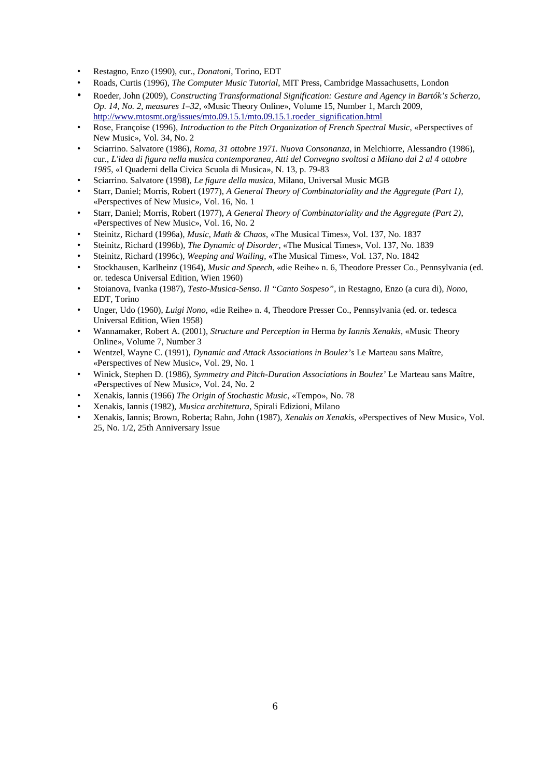- Restagno, Enzo (1990), cur., *Donatoni*, Torino, EDT
- Roads, Curtis (1996), *The Computer Music Tutorial*, MIT Press, Cambridge Massachusetts, London
- Roeder, John (2009), *Constructing Transformational Signification: Gesture and Agency in Bartók's Scherzo, Op. 14, No. 2, measures 1–32*, «Music Theory Online», Volume 15, Number 1, March 2009, http://www.mtosmt.org/issues/mto.09.15.1/mto.09.15.1.roeder\_signification.html
- Rose, Françoise (1996), *Introduction to the Pitch Organization of French Spectral Music*, «Perspectives of New Music», Vol. 34, No. 2
- Sciarrino. Salvatore (1986), *Roma, 31 ottobre 1971. Nuova Consonanza*, in Melchiorre, Alessandro (1986), cur., *L'idea di figura nella musica contemporanea, Atti del Convegno svoltosi a Milano dal 2 al 4 ottobre 1985*, «I Quaderni della Civica Scuola di Musica», N. 13, p. 79-83
- Sciarrino. Salvatore (1998), *Le figure della musica*, Milano, Universal Music MGB
- Starr, Daniel; Morris, Robert (1977), *A General Theory of Combinatoriality and the Aggregate (Part 1)*, «Perspectives of New Music», Vol. 16, No. 1
- Starr, Daniel; Morris, Robert (1977), *A General Theory of Combinatoriality and the Aggregate (Part 2)*, «Perspectives of New Music», Vol. 16, No. 2
- Steinitz, Richard (1996a), *Music, Math & Chaos*, «The Musical Times», Vol. 137, No. 1837
- Steinitz, Richard (1996b), *The Dynamic of Disorder*, «The Musical Times», Vol. 137, No. 1839
- Steinitz, Richard (1996c), *Weeping and Wailing*, «The Musical Times», Vol. 137, No. 1842
- Stockhausen, Karlheinz (1964), *Music and Speech*, «die Reihe» n. 6, Theodore Presser Co., Pennsylvania (ed. or. tedesca Universal Edition, Wien 1960)
- Stoianova, Ivanka (1987), *Testo-Musica-Senso. Il "Canto Sospeso"*, in Restagno, Enzo (a cura di), *Nono*, EDT, Torino
- Unger, Udo (1960), *Luigi Nono*, «die Reihe» n. 4, Theodore Presser Co., Pennsylvania (ed. or. tedesca Universal Edition, Wien 1958)
- Wannamaker, Robert A. (2001), *Structure and Perception in* Herma *by Iannis Xenakis*, «Music Theory Online», Volume 7, Number 3
- Wentzel, Wayne C. (1991), *Dynamic and Attack Associations in Boulez's* Le Marteau sans Maître, «Perspectives of New Music», Vol. 29, No. 1
- Winick, Stephen D. (1986), *Symmetry and Pitch-Duration Associations in Boulez'* Le Marteau sans Maître, «Perspectives of New Music», Vol. 24, No. 2
- Xenakis, Iannis (1966) *The Origin of Stochastic Music*, «Tempo», No. 78
- Xenakis, Iannis (1982), *Musica architettura*, Spirali Edizioni, Milano
- Xenakis, Iannis; Brown, Roberta; Rahn, John (1987), *Xenakis on Xenakis*, «Perspectives of New Music», Vol. 25, No. 1/2, 25th Anniversary Issue